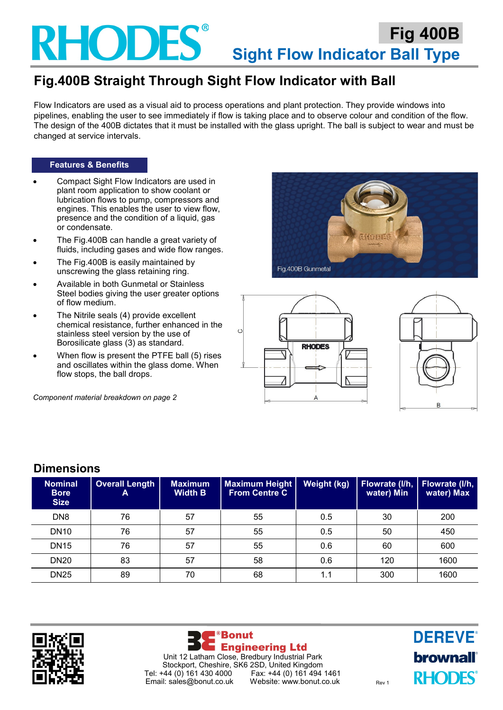

## **Fig.400B Straight Through Sight Flow Indicator with Ball**

Flow Indicators are used as a visual aid to process operations and plant protection. They provide windows into pipelines, enabling the user to see immediately if flow is taking place and to observe colour and condition of the flow. The design of the 400B dictates that it must be installed with the glass upright. The ball is subject to wear and must be changed at service intervals.

#### **Features & Benefits**

- Compact Sight Flow Indicators are used in plant room application to show coolant or lubrication flows to pump, compressors and engines. This enables the user to view flow, presence and the condition of a liquid, gas or condensate.
- The Fig.400B can handle a great variety of fluids, including gases and wide flow ranges.
- The Fig.400B is easily maintained by unscrewing the glass retaining ring.
- Available in both Gunmetal or Stainless Steel bodies giving the user greater options of flow medium.
- The Nitrile seals (4) provide excellent chemical resistance, further enhanced in the stainless steel version by the use of Borosilicate glass (3) as standard.
- When flow is present the PTFE ball (5) rises and oscillates within the glass dome. When flow stops, the ball drops.

*Component material breakdown on page 2*







| <b>Nominal</b><br><b>Bore</b><br><b>Size</b> | <b>Overall Length</b><br>A | <b>Maximum</b><br><b>Width B</b> | <b>Maximum Height</b><br><b>From Centre C</b> | Weight (kg) | Flowrate (I/h,<br>water) Min | Flowrate (I/h,<br>water) Max |
|----------------------------------------------|----------------------------|----------------------------------|-----------------------------------------------|-------------|------------------------------|------------------------------|
| DN <sub>8</sub>                              | 76                         | 57                               | 55                                            | 0.5         | 30                           | 200                          |
| DN10                                         | 76                         | 57                               | 55                                            | 0.5         | 50                           | 450                          |
| <b>DN15</b>                                  | 76                         | 57                               | 55                                            | 0.6         | 60                           | 600                          |
| <b>DN20</b>                                  | 83                         | 57                               | 58                                            | 0.6         | 120                          | 1600                         |
| <b>DN25</b>                                  | 89                         | 70                               | 68                                            | 1.1         | 300                          | 1600                         |



**Dimensions**



**DEREVE® brownall RHODES**